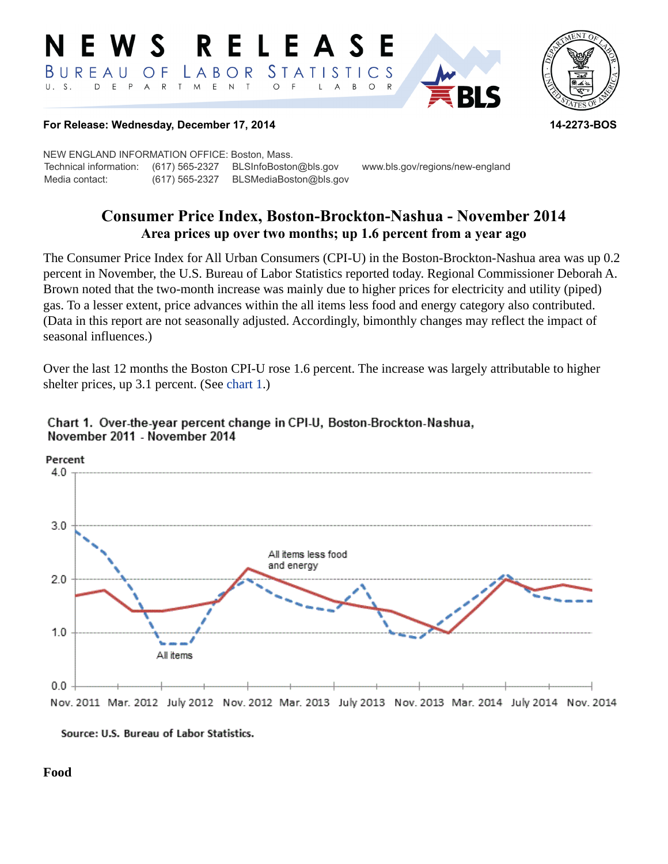#### RELEASE E W S *STATISTICS* BUREAU LABOR O F D E P A R T M E N T  $\circ$  $U. S.$ B  $\circ$ L  $\overline{A}$



#### **For Release: Wednesday, December 17, 2014 14-2273-BOS**

NEW ENGLAND INFORMATION OFFICE: Boston, Mass. Technical information: (617) 565-2327 BLSInfoBoston@bls.gov www.bls.gov/regions/new-england Media contact: (617) 565-2327 BLSMediaBoston@bls.gov

# **Consumer Price Index, Boston-Brockton-Nashua - November 2014 Area prices up over two months; up 1.6 percent from a year ago**

The Consumer Price Index for All Urban Consumers (CPI-U) in the Boston-Brockton-Nashua area was up 0.2 percent in November, the U.S. Bureau of Labor Statistics reported today. Regional Commissioner Deborah A. Brown noted that the two-month increase was mainly due to higher prices for electricity and utility (piped) gas. To a lesser extent, price advances within the all items less food and energy category also contributed. (Data in this report are not seasonally adjusted. Accordingly, bimonthly changes may reflect the impact of seasonal influences.)

Over the last 12 months the Boston CPI-U rose 1.6 percent. The increase was largely attributable to higher shelter prices, up 3.1 percent. (See [chart 1](#page-0-0).)



#### <span id="page-0-0"></span>Chart 1. Over-the-year percent change in CPI-U, Boston-Brockton-Nashua, November 2011 - November 2014

Source: U.S. Bureau of Labor Statistics.

**Food**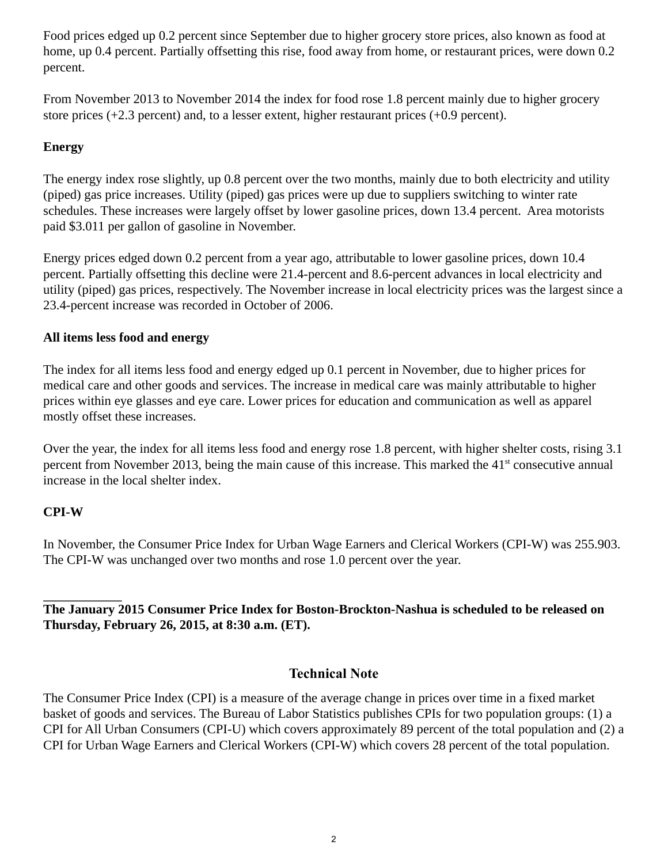Food prices edged up 0.2 percent since September due to higher grocery store prices, also known as food at home, up 0.4 percent. Partially offsetting this rise, food away from home, or restaurant prices, were down 0.2 percent.

From November 2013 to November 2014 the index for food rose 1.8 percent mainly due to higher grocery store prices (+2.3 percent) and, to a lesser extent, higher restaurant prices (+0.9 percent).

## **Energy**

The energy index rose slightly, up 0.8 percent over the two months, mainly due to both electricity and utility (piped) gas price increases. Utility (piped) gas prices were up due to suppliers switching to winter rate schedules. These increases were largely offset by lower gasoline prices, down 13.4 percent. Area motorists paid \$3.011 per gallon of gasoline in November.

Energy prices edged down 0.2 percent from a year ago, attributable to lower gasoline prices, down 10.4 percent. Partially offsetting this decline were 21.4-percent and 8.6-percent advances in local electricity and utility (piped) gas prices, respectively. The November increase in local electricity prices was the largest since a 23.4-percent increase was recorded in October of 2006.

### **All items less food and energy**

The index for all items less food and energy edged up 0.1 percent in November, due to higher prices for medical care and other goods and services. The increase in medical care was mainly attributable to higher prices within eye glasses and eye care. Lower prices for education and communication as well as apparel mostly offset these increases.

Over the year, the index for all items less food and energy rose 1.8 percent, with higher shelter costs, rising 3.1 percent from November 2013, being the main cause of this increase. This marked the  $41<sup>st</sup>$  consecutive annual increase in the local shelter index.

## **CPI-W**

In November, the Consumer Price Index for Urban Wage Earners and Clerical Workers (CPI-W) was 255.903. The CPI-W was unchanged over two months and rose 1.0 percent over the year.

### **The January 2015 Consumer Price Index for Boston-Brockton-Nashua is scheduled to be released on Thursday, February 26, 2015, at 8:30 a.m. (ET).**

## **Technical Note**

The Consumer Price Index (CPI) is a measure of the average change in prices over time in a fixed market basket of goods and services. The Bureau of Labor Statistics publishes CPIs for two population groups: (1) a CPI for All Urban Consumers (CPI-U) which covers approximately 89 percent of the total population and (2) a CPI for Urban Wage Earners and Clerical Workers (CPI-W) which covers 28 percent of the total population.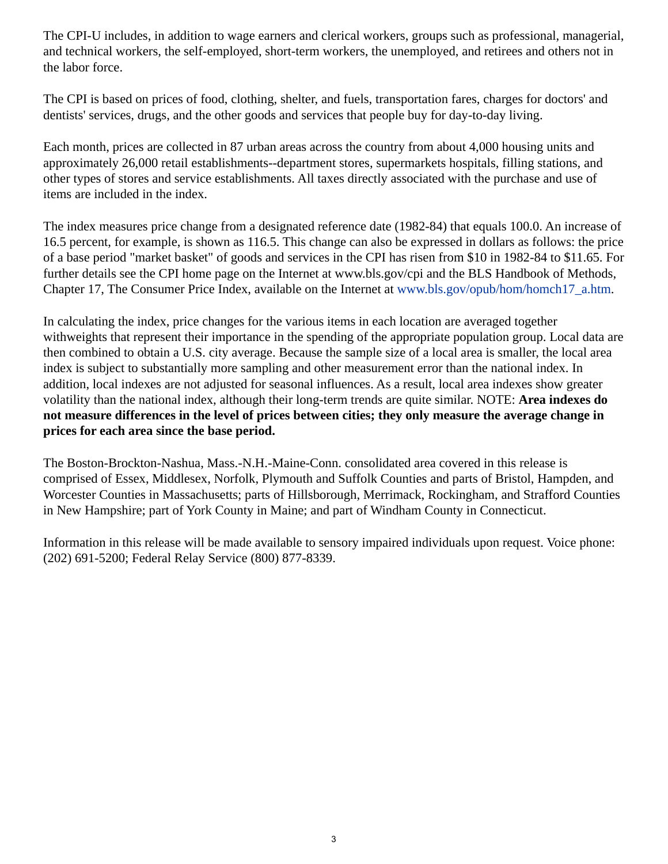The CPI-U includes, in addition to wage earners and clerical workers, groups such as professional, managerial, and technical workers, the self-employed, short-term workers, the unemployed, and retirees and others not in the labor force.

The CPI is based on prices of food, clothing, shelter, and fuels, transportation fares, charges for doctors' and dentists' services, drugs, and the other goods and services that people buy for day-to-day living.

Each month, prices are collected in 87 urban areas across the country from about 4,000 housing units and approximately 26,000 retail establishments--department stores, supermarkets hospitals, filling stations, and other types of stores and service establishments. All taxes directly associated with the purchase and use of items are included in the index.

The index measures price change from a designated reference date (1982-84) that equals 100.0. An increase of 16.5 percent, for example, is shown as 116.5. This change can also be expressed in dollars as follows: the price of a base period "market basket" of goods and services in the CPI has risen from \$10 in 1982-84 to \$11.65. For further details see the CPI home page on the Internet at www.bls.gov/cpi and the BLS Handbook of Methods, Chapter 17, The Consumer Price Index, available on the Internet at [www.bls.gov/opub/hom/homch17\\_a.htm](https://www.bls.gov/opub/hom/homch17_a.htm).

In calculating the index, price changes for the various items in each location are averaged together withweights that represent their importance in the spending of the appropriate population group. Local data are then combined to obtain a U.S. city average. Because the sample size of a local area is smaller, the local area index is subject to substantially more sampling and other measurement error than the national index. In addition, local indexes are not adjusted for seasonal influences. As a result, local area indexes show greater volatility than the national index, although their long-term trends are quite similar. NOTE: **Area indexes do not measure differences in the level of prices between cities; they only measure the average change in prices for each area since the base period.**

The Boston-Brockton-Nashua, Mass.-N.H.-Maine-Conn. consolidated area covered in this release is comprised of Essex, Middlesex, Norfolk, Plymouth and Suffolk Counties and parts of Bristol, Hampden, and Worcester Counties in Massachusetts; parts of Hillsborough, Merrimack, Rockingham, and Strafford Counties in New Hampshire; part of York County in Maine; and part of Windham County in Connecticut.

Information in this release will be made available to sensory impaired individuals upon request. Voice phone: (202) 691-5200; Federal Relay Service (800) 877-8339.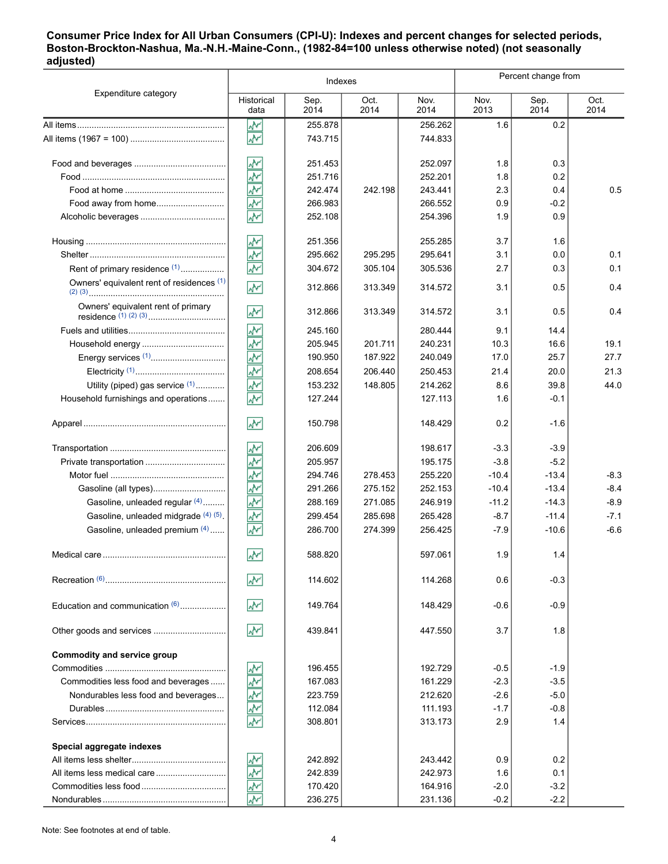#### **Consumer Price Index for All Urban Consumers (CPI-U): Indexes and percent changes for selected periods, Boston-Brockton-Nashua, Ma.-N.H.-Maine-Conn., (1982-84=100 unless otherwise noted) (not seasonally adjusted)**

|                                           | Indexes                  |              |              |              | Percent change from |              |              |
|-------------------------------------------|--------------------------|--------------|--------------|--------------|---------------------|--------------|--------------|
| Expenditure category                      | Historical<br>data       | Sep.<br>2014 | Oct.<br>2014 | Nov.<br>2014 | Nov.<br>2013        | Sep.<br>2014 | Oct.<br>2014 |
|                                           | ۸M                       | 255.878      |              | 256.262      | 1.6                 | 0.2          |              |
|                                           | W٨                       | 743.715      |              | 744.833      |                     |              |              |
|                                           | ۸v                       | 251.453      |              | 252.097      | 1.8                 | 0.3          |              |
|                                           | š                        | 251.716      |              | 252.201      | 1.8                 | 0.2          |              |
|                                           | 哑                        | 242.474      | 242.198      | 243.441      | 2.3                 | 0.4          | 0.5          |
| Food away from home                       | $\widehat{\mathbb{A}^n}$ | 266.983      |              | 266.552      | 0.9                 | $-0.2$       |              |
|                                           | Ñ                        | 252.108      |              | 254.396      | 1.9                 | 0.9          |              |
|                                           | ş                        | 251.356      |              | 255.285      | 3.7                 | 1.6          |              |
|                                           | $\overline{\mathbf{v}}$  | 295.662      | 295.295      | 295.641      | 3.1                 | 0.0          | 0.1          |
| Rent of primary residence (1)             | Ť                        | 304.672      | 305.104      | 305.536      | 2.7                 | 0.3          | 0.1          |
| Owners' equivalent rent of residences (1) | W                        | 312.866      | 313.349      | 314.572      | 3.1                 | 0.5          | 0.4          |
| Owners' equivalent rent of primary        | ۸V                       | 312.866      | 313.349      | 314.572      | 3.1                 | 0.5          | 0.4          |
|                                           | ۸Y                       | 245.160      |              | 280.444      | 9.1                 | 14.4         |              |
|                                           | š                        | 205.945      | 201.711      | 240.231      | 10.3                | 16.6         | 19.1         |
|                                           | š                        | 190.950      | 187.922      | 240.049      | 17.0                | 25.7         | 27.7         |
|                                           | ž                        | 208.654      | 206.440      | 250.453      | 21.4                | 20.0         | 21.3         |
| Utility (piped) gas service $(1)$         | Ñ                        | 153.232      | 148.805      | 214.262      | 8.6                 | 39.8         | 44.0         |
| Household furnishings and operations      | $\overline{\mathbf{v}}$  | 127.244      |              | 127.113      | 1.6                 | $-0.1$       |              |
|                                           | w                        | 150.798      |              | 148.429      | 0.2                 | $-1.6$       |              |
|                                           | ŵ٨                       | 206.609      |              | 198.617      | $-3.3$              | $-3.9$       |              |
|                                           | š                        | 205.957      |              | 195.175      | $-3.8$              | $-5.2$       |              |
|                                           | ş                        | 294.746      | 278.453      | 255.220      | $-10.4$             | $-13.4$      | $-8.3$       |
|                                           | ş                        | 291.266      | 275.152      | 252.153      | $-10.4$             | $-13.4$      | $-8.4$       |
| Gasoline, unleaded regular (4)            | š                        | 288.169      | 271.085      | 246.919      | $-11.2$             | $-14.3$      | $-8.9$       |
| Gasoline, unleaded midgrade (4) (5)       | ž                        | 299.454      | 285.698      | 265.428      | $-8.7$              | $-11.4$      | $-7.1$       |
| Gasoline, unleaded premium (4)            | $\overline{\mathbf{v}}$  | 286.700      | 274.399      | 256.425      | $-7.9$              | $-10.6$      | $-6.6$       |
|                                           | $\overline{\mathcal{N}}$ | 588.820      |              | 597.061      | 1.9                 | 1.4          |              |
|                                           | W                        | 114.602      |              | 114.268      | 0.6                 | $-0.3$       |              |
| Education and communication (6)           | ۸M                       | 149.764      |              | 148.429      | $-0.6$              | $-0.9$       |              |
| Other goods and services                  | $\sqrt{2}$               | 439.841      |              | 447.550      | 3.7                 | 1.8          |              |
| Commodity and service group               |                          |              |              |              |                     |              |              |
|                                           | <u>پہ</u>                | 196.455      |              | 192.729      | $-0.5$              | $-1.9$       |              |
| Commodities less food and beverages       | 哑                        | 167.083      |              | 161.229      | $-2.3$              | $-3.5$       |              |
| Nondurables less food and beverages       | $\frac{\sqrt{N}}{N}$     | 223.759      |              | 212.620      | $-2.6$              | $-5.0$       |              |
|                                           | $\tilde{\mathbb{A}}$     | 112.084      |              | 111.193      | $-1.7$              | $-0.8$       |              |
|                                           | W                        | 308.801      |              | 313.173      | 2.9                 | 1.4          |              |
| Special aggregate indexes                 |                          |              |              |              |                     |              |              |
|                                           | <u>په</u>                | 242.892      |              | 243.442      | 0.9                 | 0.2          |              |
|                                           | $\Phi$                   | 242.839      |              | 242.973      | 1.6                 | 0.1          |              |
|                                           | 办                        | 170.420      |              | 164.916      | $-2.0$              | $-3.2$       |              |
|                                           | $\overline{\mathbf{v}}$  | 236.275      |              | 231.136      | $-0.2$              | $-2.2$       |              |